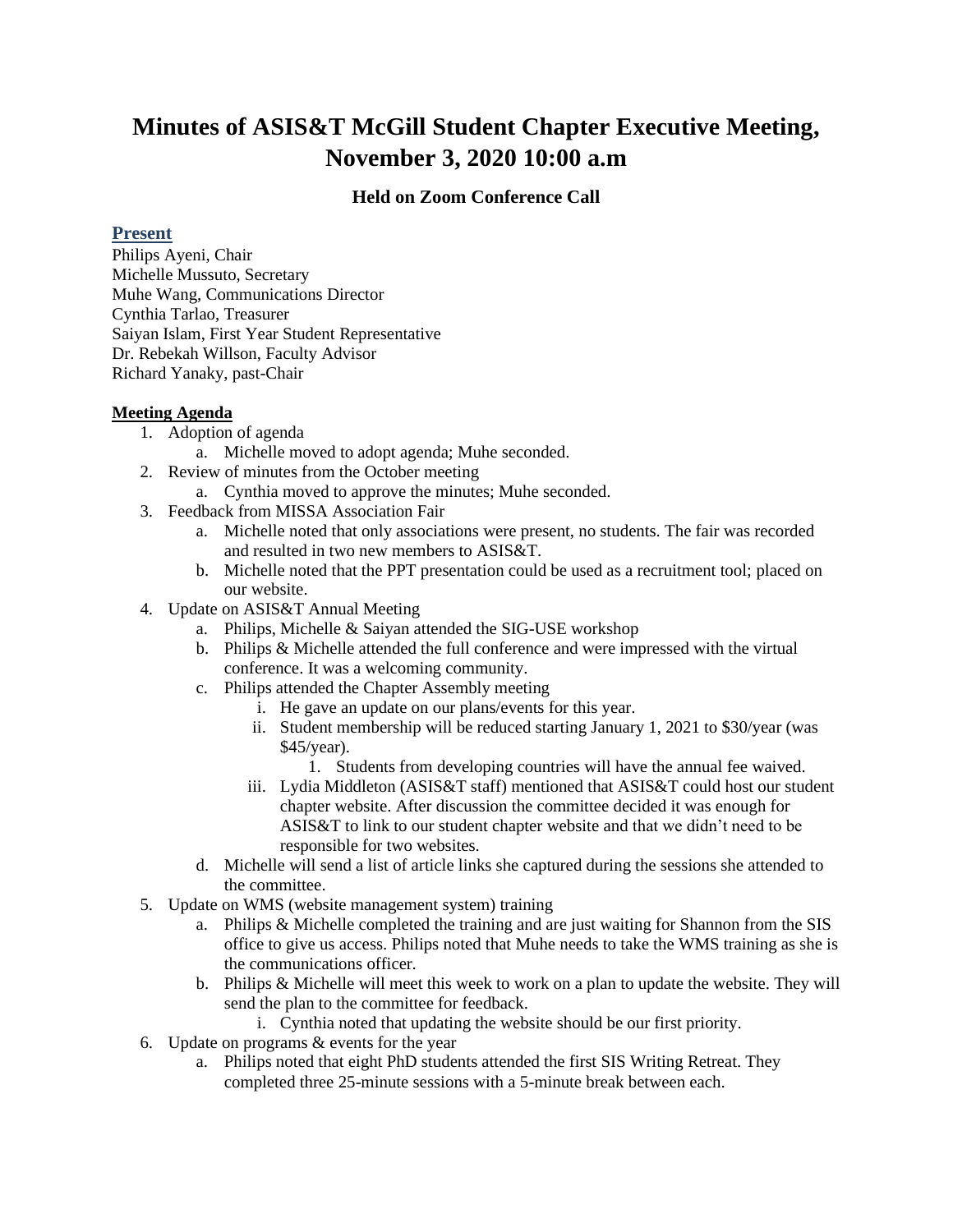## **Minutes of ASIS&T McGill Student Chapter Executive Meeting, November 3, 2020 10:00 a.m**

## **Held on Zoom Conference Call**

## **Present**

Philips Ayeni, Chair Michelle Mussuto, Secretary Muhe Wang, Communications Director Cynthia Tarlao, Treasurer Saiyan Islam, First Year Student Representative Dr. Rebekah Willson, Faculty Advisor Richard Yanaky, past-Chair

## **Meeting Agenda**

- 1. Adoption of agenda
	- a. Michelle moved to adopt agenda; Muhe seconded.
- 2. Review of minutes from the October meeting
	- a. Cynthia moved to approve the minutes; Muhe seconded.
- 3. Feedback from MISSA Association Fair
	- a. Michelle noted that only associations were present, no students. The fair was recorded and resulted in two new members to ASIS&T.
	- b. Michelle noted that the PPT presentation could be used as a recruitment tool; placed on our website.
- 4. Update on ASIS&T Annual Meeting
	- a. Philips, Michelle & Saiyan attended the SIG-USE workshop
	- b. Philips & Michelle attended the full conference and were impressed with the virtual conference. It was a welcoming community.
	- c. Philips attended the Chapter Assembly meeting
		- i. He gave an update on our plans/events for this year.
			- ii. Student membership will be reduced starting January 1, 2021 to \$30/year (was \$45/year).
				- 1. Students from developing countries will have the annual fee waived.
		- iii. Lydia Middleton (ASIS&T staff) mentioned that ASIS&T could host our student chapter website. After discussion the committee decided it was enough for ASIS&T to link to our student chapter website and that we didn't need to be responsible for two websites.
	- d. Michelle will send a list of article links she captured during the sessions she attended to the committee.
- 5. Update on WMS (website management system) training
	- a. Philips & Michelle completed the training and are just waiting for Shannon from the SIS office to give us access. Philips noted that Muhe needs to take the WMS training as she is the communications officer.
	- b. Philips & Michelle will meet this week to work on a plan to update the website. They will send the plan to the committee for feedback.
		- i. Cynthia noted that updating the website should be our first priority.
- 6. Update on programs & events for the year
	- a. Philips noted that eight PhD students attended the first SIS Writing Retreat. They completed three 25-minute sessions with a 5-minute break between each.